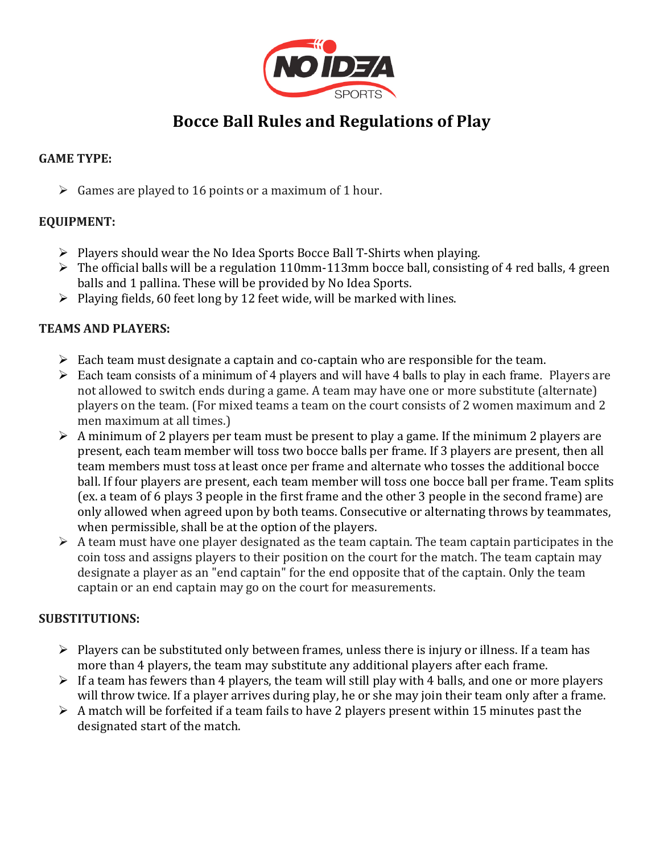

# **Bocce Ball Rules and Regulations of Play**

## **GAME TYPE:**

 $\triangleright$  Games are played to 16 points or a maximum of 1 hour.

## **EQUIPMENT:**

- $\triangleright$  Players should wear the No Idea Sports Bocce Ball T-Shirts when playing.
- $\triangleright$  The official balls will be a regulation 110mm-113mm bocce ball, consisting of 4 red balls, 4 green balls and 1 pallina. These will be provided by No Idea Sports.
- $\triangleright$  Playing fields, 60 feet long by 12 feet wide, will be marked with lines.

#### **TEAMS AND PLAYERS:**

- $\triangleright$  Each team must designate a captain and co-captain who are responsible for the team.
- $\triangleright$  Each team consists of a minimum of 4 players and will have 4 balls to play in each frame. Players are not allowed to switch ends during a game. A team may have one or more substitute (alternate) players on the team. (For mixed teams a team on the court consists of 2 women maximum and 2 men maximum at all times.)
- $\triangleright$  A minimum of 2 players per team must be present to play a game. If the minimum 2 players are present, each team member will toss two bocce balls per frame. If 3 players are present, then all team members must toss at least once per frame and alternate who tosses the additional bocce ball. If four players are present, each team member will toss one bocce ball per frame. Team splits (ex. a team of 6 plays 3 people in the first frame and the other 3 people in the second frame) are only allowed when agreed upon by both teams. Consecutive or alternating throws by teammates, when permissible, shall be at the option of the players.
- $\triangleright$  A team must have one player designated as the team captain. The team captain participates in the coin toss and assigns players to their position on the court for the match. The team captain may designate a player as an "end captain" for the end opposite that of the captain. Only the team captain or an end captain may go on the court for measurements.

## **SUBSTITUTIONS:**

- $\triangleright$  Players can be substituted only between frames, unless there is injury or illness. If a team has more than 4 players, the team may substitute any additional players after each frame.
- $\triangleright$  If a team has fewers than 4 players, the team will still play with 4 balls, and one or more players will throw twice. If a player arrives during play, he or she may join their team only after a frame.
- $\triangleright$  A match will be forfeited if a team fails to have 2 players present within 15 minutes past the designated start of the match.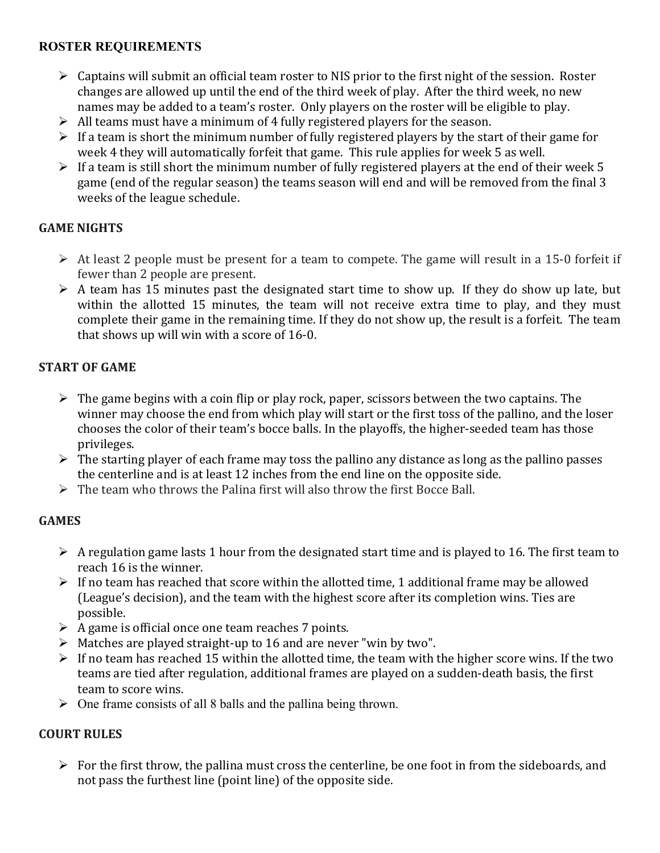## **ROSTER REQUIREMENTS**

- $\triangleright$  Captains will submit an official team roster to NIS prior to the first night of the session. Roster changes are allowed up until the end of the third week of play. After the third week, no new names may be added to a team's roster. Only players on the roster will be eligible to play.
- $\triangleright$  All teams must have a minimum of 4 fully registered players for the season.
- $\triangleright$  If a team is short the minimum number of fully registered players by the start of their game for week 4 they will automatically forfeit that game. This rule applies for week 5 as well.
- $\triangleright$  If a team is still short the minimum number of fully registered players at the end of their week 5 game (end of the regular season) the teams season will end and will be removed from the final 3 weeks of the league schedule.

## **GAME NIGHTS**

- $\triangleright$  At least 2 people must be present for a team to compete. The game will result in a 15-0 forfeit if fewer than 2 people are present.
- $\triangleright$  A team has 15 minutes past the designated start time to show up. If they do show up late, but within the allotted 15 minutes, the team will not receive extra time to play, and they must complete their game in the remaining time. If they do not show up, the result is a forfeit. The team that shows up will win with a score of 16-0.

## **START OF GAME**

- $\triangleright$  The game begins with a coin flip or play rock, paper, scissors between the two captains. The winner may choose the end from which play will start or the first toss of the pallino, and the loser chooses the color of their team's bocce balls. In the playoffs, the higher-seeded team has those privileges.
- $\triangleright$  The starting player of each frame may toss the pallino any distance as long as the pallino passes the centerline and is at least 12 inches from the end line on the opposite side.
- $\triangleright$  The team who throws the Palina first will also throw the first Bocce Ball.

## **GAMES**

- $\triangleright$  A regulation game lasts 1 hour from the designated start time and is played to 16. The first team to reach 16 is the winner.
- $\triangleright$  If no team has reached that score within the allotted time, 1 additional frame may be allowed (League's decision), and the team with the highest score after its completion wins. Ties are possible.
- $\triangleright$  A game is official once one team reaches 7 points.
- $\triangleright$  Matches are played straight-up to 16 and are never "win by two".
- $\triangleright$  If no team has reached 15 within the allotted time, the team with the higher score wins. If the two teams are tied after regulation, additional frames are played on a sudden-death basis, the first team to score wins.
- $\triangleright$  One frame consists of all 8 balls and the pallina being thrown.

## **COURT RULES**

 $\triangleright$  For the first throw, the pallina must cross the centerline, be one foot in from the sideboards, and not pass the furthest line (point line) of the opposite side.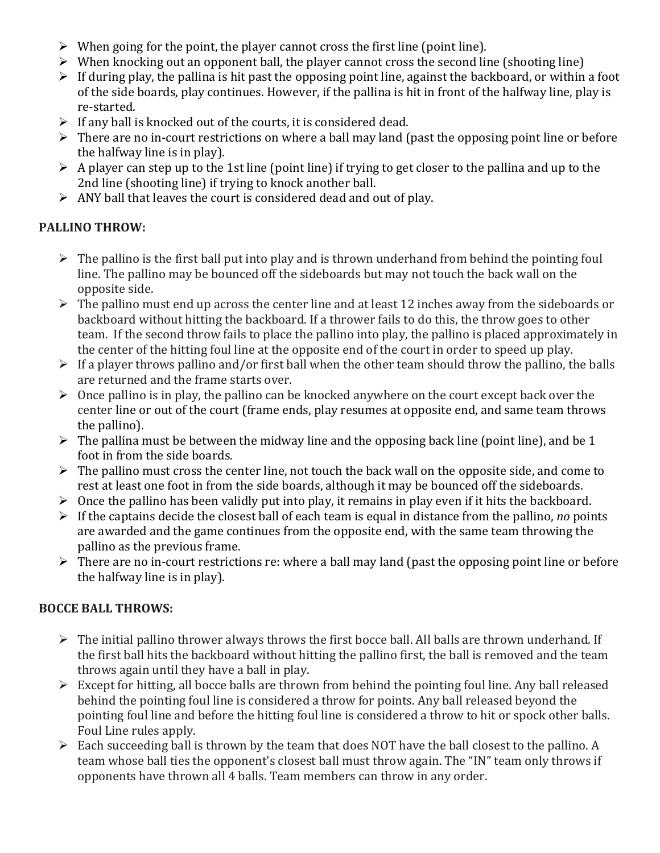- $\triangleright$  When going for the point, the player cannot cross the first line (point line).
- $\triangleright$  When knocking out an opponent ball, the player cannot cross the second line (shooting line)
- $\triangleright$  If during play, the pallina is hit past the opposing point line, against the backboard, or within a foot of the side boards, play continues. However, if the pallina is hit in front of the halfway line, play is re-started.
- $\triangleright$  If any ball is knocked out of the courts, it is considered dead.
- $\triangleright$  There are no in-court restrictions on where a ball may land (past the opposing point line or before the halfway line is in play).
- $\triangleright$  A player can step up to the 1st line (point line) if trying to get closer to the pallina and up to the 2nd line (shooting line) if trying to knock another ball.
- $\triangleright$  ANY ball that leaves the court is considered dead and out of play.

# **PALLINO THROW:**

- $\triangleright$  The pallino is the first ball put into play and is thrown underhand from behind the pointing foul line. The pallino may be bounced off the sideboards but may not touch the back wall on the opposite side.
- $\triangleright$  The pallino must end up across the center line and at least 12 inches away from the sideboards or backboard without hitting the backboard. If a thrower fails to do this, the throw goes to other team. If the second throw fails to place the pallino into play, the pallino is placed approximately in the center of the hitting foul line at the opposite end of the court in order to speed up play.
- $\triangleright$  If a player throws pallino and/or first ball when the other team should throw the pallino, the balls are returned and the frame starts over.
- $\triangleright$  Once pallino is in play, the pallino can be knocked anywhere on the court except back over the center line or out of the court (frame ends, play resumes at opposite end, and same team throws the pallino).
- $\triangleright$  The pallina must be between the midway line and the opposing back line (point line), and be 1 foot in from the side boards.
- $\triangleright$  The pallino must cross the center line, not touch the back wall on the opposite side, and come to rest at least one foot in from the side boards, although it may be bounced off the sideboards.
- $\triangleright$  Once the pallino has been validly put into play, it remains in play even if it hits the backboard.
- $\triangleright$  If the captains decide the closest ball of each team is equal in distance from the pallino, *no* points are awarded and the game continues from the opposite end, with the same team throwing the pallino as the previous frame.
- $\triangleright$  There are no in-court restrictions re: where a ball may land (past the opposing point line or before the halfway line is in play).

# **BOCCE BALL THROWS:**

- $\triangleright$  The initial pallino thrower always throws the first bocce ball. All balls are thrown underhand. If the first ball hits the backboard without hitting the pallino first, the ball is removed and the team throws again until they have a ball in play.
- $\triangleright$  Except for hitting, all bocce balls are thrown from behind the pointing foul line. Any ball released behind the pointing foul line is considered a throw for points. Any ball released beyond the pointing foul line and before the hitting foul line is considered a throw to hit or spock other balls. Foul Line rules apply.
- $\triangleright$  Each succeeding ball is thrown by the team that does NOT have the ball closest to the pallino. A team whose ball ties the opponent's closest ball must throw again. The "IN" team only throws if opponents have thrown all 4 balls. Team members can throw in any order.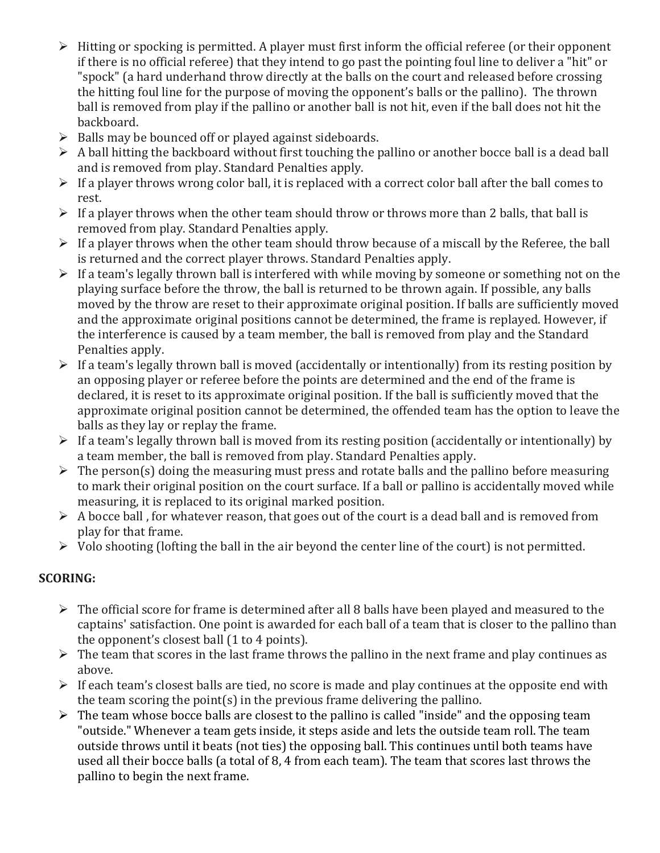- $\triangleright$  Hitting or spocking is permitted. A player must first inform the official referee (or their opponent if there is no official referee) that they intend to go past the pointing foul line to deliver a "hit" or "spock" (a hard underhand throw directly at the balls on the court and released before crossing the hitting foul line for the purpose of moving the opponent's balls or the pallino). The thrown ball is removed from play if the pallino or another ball is not hit, even if the ball does not hit the backboard.
- $\triangleright$  Balls may be bounced off or played against sideboards.
- $\triangleright$  A ball hitting the backboard without first touching the pallino or another bocce ball is a dead ball and is removed from play. Standard Penalties apply.
- $\triangleright$  If a player throws wrong color ball, it is replaced with a correct color ball after the ball comes to rest.
- $\triangleright$  If a player throws when the other team should throw or throws more than 2 balls, that ball is removed from play. Standard Penalties apply.
- $\triangleright$  If a player throws when the other team should throw because of a miscall by the Referee, the ball is returned and the correct player throws. Standard Penalties apply.
- $\triangleright$  If a team's legally thrown ball is interfered with while moving by someone or something not on the playing surface before the throw, the ball is returned to be thrown again. If possible, any balls moved by the throw are reset to their approximate original position. If balls are sufficiently moved and the approximate original positions cannot be determined, the frame is replayed. However, if the interference is caused by a team member, the ball is removed from play and the Standard Penalties apply.
- $\triangleright$  If a team's legally thrown ball is moved (accidentally or intentionally) from its resting position by an opposing player or referee before the points are determined and the end of the frame is declared, it is reset to its approximate original position. If the ball is sufficiently moved that the approximate original position cannot be determined, the offended team has the option to leave the balls as they lay or replay the frame.
- $\triangleright$  If a team's legally thrown ball is moved from its resting position (accidentally or intentionally) by a team member, the ball is removed from play. Standard Penalties apply.
- $\triangleright$  The person(s) doing the measuring must press and rotate balls and the pallino before measuring to mark their original position on the court surface. If a ball or pallino is accidentally moved while measuring, it is replaced to its original marked position.
- $\triangleright$  A bocce ball, for whatever reason, that goes out of the court is a dead ball and is removed from play for that frame.
- $\triangleright$  Volo shooting (lofting the ball in the air beyond the center line of the court) is not permitted.

## **SCORING:**

- $\triangleright$  The official score for frame is determined after all 8 balls have been played and measured to the captains' satisfaction. One point is awarded for each ball of a team that is closer to the pallino than the opponent's closest ball  $(1$  to  $4$  points).
- $\triangleright$  The team that scores in the last frame throws the pallino in the next frame and play continues as above.
- $\triangleright$  If each team's closest balls are tied, no score is made and play continues at the opposite end with the team scoring the point(s) in the previous frame delivering the pallino.
- $\triangleright$  The team whose bocce balls are closest to the pallino is called "inside" and the opposing team "outside." Whenever a team gets inside, it steps aside and lets the outside team roll. The team outside throws until it beats (not ties) the opposing ball. This continues until both teams have used all their bocce balls (a total of 8, 4 from each team). The team that scores last throws the pallino to begin the next frame.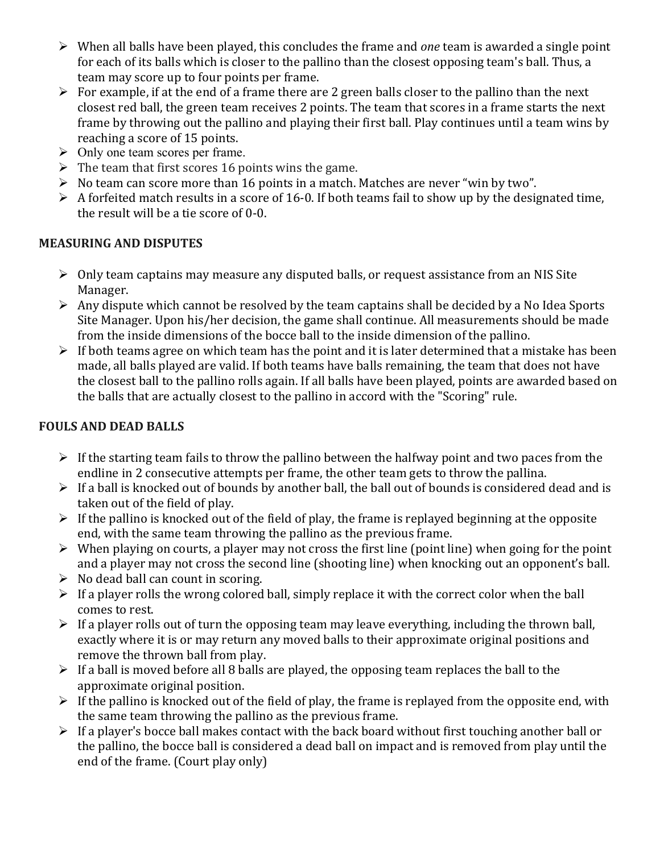- $\triangleright$  When all balls have been played, this concludes the frame and *one* team is awarded a single point for each of its balls which is closer to the pallino than the closest opposing team's ball. Thus, a team may score up to four points per frame.
- $\triangleright$  For example, if at the end of a frame there are 2 green balls closer to the pallino than the next closest red ball, the green team receives 2 points. The team that scores in a frame starts the next frame by throwing out the pallino and playing their first ball. Play continues until a team wins by reaching a score of 15 points.
- $\triangleright$  Only one team scores per frame.
- $\triangleright$  The team that first scores 16 points wins the game.
- $\triangleright$  No team can score more than 16 points in a match. Matches are never "win by two".
- $\triangleright$  A forfeited match results in a score of 16-0. If both teams fail to show up by the designated time, the result will be a tie score of  $0-0$ .

## **MEASURING AND DISPUTES**

- $\triangleright$  Only team captains may measure any disputed balls, or request assistance from an NIS Site Manager.
- $\triangleright$  Any dispute which cannot be resolved by the team captains shall be decided by a No Idea Sports Site Manager. Upon his/her decision, the game shall continue. All measurements should be made from the inside dimensions of the bocce ball to the inside dimension of the pallino.
- $\triangleright$  If both teams agree on which team has the point and it is later determined that a mistake has been made, all balls played are valid. If both teams have balls remaining, the team that does not have the closest ball to the pallino rolls again. If all balls have been played, points are awarded based on the balls that are actually closest to the pallino in accord with the "Scoring" rule.

# **FOULS AND DEAD BALLS**

- $\triangleright$  If the starting team fails to throw the pallino between the halfway point and two paces from the endline in 2 consecutive attempts per frame, the other team gets to throw the pallina.
- $\triangleright$  If a ball is knocked out of bounds by another ball, the ball out of bounds is considered dead and is taken out of the field of play.
- $\triangleright$  If the pallino is knocked out of the field of play, the frame is replayed beginning at the opposite end, with the same team throwing the pallino as the previous frame.
- $\triangleright$  When playing on courts, a player may not cross the first line (point line) when going for the point and a player may not cross the second line (shooting line) when knocking out an opponent's ball.
- $\triangleright$  No dead ball can count in scoring.
- $\triangleright$  If a player rolls the wrong colored ball, simply replace it with the correct color when the ball comes to rest.
- $\triangleright$  If a player rolls out of turn the opposing team may leave everything, including the thrown ball, exactly where it is or may return any moved balls to their approximate original positions and remove the thrown ball from play.
- $\triangleright$  If a ball is moved before all 8 balls are played, the opposing team replaces the ball to the approximate original position.
- $\triangleright$  If the pallino is knocked out of the field of play, the frame is replayed from the opposite end, with the same team throwing the pallino as the previous frame.
- $\triangleright$  If a player's bocce ball makes contact with the back board without first touching another ball or the pallino, the bocce ball is considered a dead ball on impact and is removed from play until the end of the frame. (Court play only)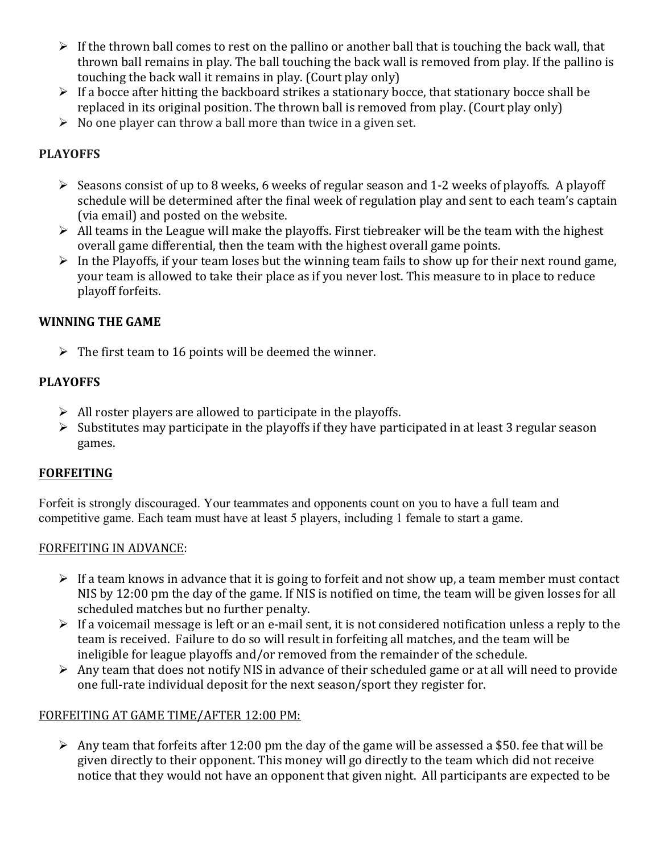- $\triangleright$  If the thrown ball comes to rest on the pallino or another ball that is touching the back wall, that thrown ball remains in play. The ball touching the back wall is removed from play. If the pallino is touching the back wall it remains in play. (Court play only)
- $\triangleright$  If a bocce after hitting the backboard strikes a stationary bocce, that stationary bocce shall be replaced in its original position. The thrown ball is removed from play. (Court play only)
- $\triangleright$  No one player can throw a ball more than twice in a given set.

## **PLAYOFFS**

- $\triangleright$  Seasons consist of up to 8 weeks, 6 weeks of regular season and 1-2 weeks of playoffs. A playoff schedule will be determined after the final week of regulation play and sent to each team's captain (via email) and posted on the website.
- $\triangleright$  All teams in the League will make the playoffs. First tiebreaker will be the team with the highest overall game differential, then the team with the highest overall game points.
- $\triangleright$  In the Playoffs, if your team loses but the winning team fails to show up for their next round game, your team is allowed to take their place as if you never lost. This measure to in place to reduce playoff forfeits.

## **WINNING THE GAME**

 $\triangleright$  The first team to 16 points will be deemed the winner.

## **PLAYOFFS**

- $\triangleright$  All roster players are allowed to participate in the playoffs.
- $\triangleright$  Substitutes may participate in the playoffs if they have participated in at least 3 regular season games.

## **FORFEITING**

Forfeit is strongly discouraged. Your teammates and opponents count on you to have a full team and competitive game. Each team must have at least 5 players, including 1 female to start a game.

## FORFEITING IN ADVANCE:

- $\triangleright$  If a team knows in advance that it is going to forfeit and not show up, a team member must contact NIS by 12:00 pm the day of the game. If NIS is notified on time, the team will be given losses for all scheduled matches but no further penalty.
- $\triangleright$  If a voicemail message is left or an e-mail sent, it is not considered notification unless a reply to the team is received. Failure to do so will result in forfeiting all matches, and the team will be ineligible for league playoffs and/or removed from the remainder of the schedule.
- $\triangleright$  Any team that does not notify NIS in advance of their scheduled game or at all will need to provide one full-rate individual deposit for the next season/sport they register for.

## FORFEITING AT GAME TIME/AFTER 12:00 PM:

 $\triangleright$  Any team that forfeits after 12:00 pm the day of the game will be assessed a \$50. fee that will be given directly to their opponent. This money will go directly to the team which did not receive notice that they would not have an opponent that given night. All participants are expected to be